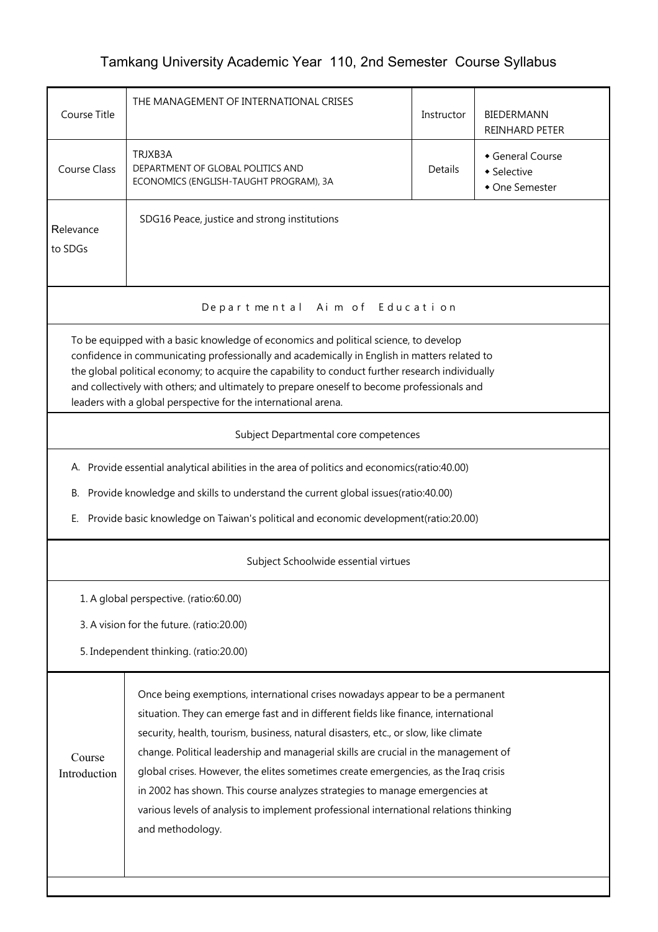## Tamkang University Academic Year 110, 2nd Semester Course Syllabus

| THE MANAGEMENT OF INTERNATIONAL CRISES                                                                                                                                                                                                                                                                                                                                                                                                                    | Instructor                                                 | BIEDERMANN<br><b>REINHARD PETER</b>                                                                                                                                                                                                                                                                                                                                                                                                                                                                                                                                                                                                                                                                                                                                                                                                                                                           |  |  |  |  |
|-----------------------------------------------------------------------------------------------------------------------------------------------------------------------------------------------------------------------------------------------------------------------------------------------------------------------------------------------------------------------------------------------------------------------------------------------------------|------------------------------------------------------------|-----------------------------------------------------------------------------------------------------------------------------------------------------------------------------------------------------------------------------------------------------------------------------------------------------------------------------------------------------------------------------------------------------------------------------------------------------------------------------------------------------------------------------------------------------------------------------------------------------------------------------------------------------------------------------------------------------------------------------------------------------------------------------------------------------------------------------------------------------------------------------------------------|--|--|--|--|
| TRJXB3A<br>DEPARTMENT OF GLOBAL POLITICS AND<br>ECONOMICS (ENGLISH-TAUGHT PROGRAM), 3A                                                                                                                                                                                                                                                                                                                                                                    | General Course<br>Details<br>• Selective<br>• One Semester |                                                                                                                                                                                                                                                                                                                                                                                                                                                                                                                                                                                                                                                                                                                                                                                                                                                                                               |  |  |  |  |
| SDG16 Peace, justice and strong institutions<br>Relevance<br>to SDGs                                                                                                                                                                                                                                                                                                                                                                                      |                                                            |                                                                                                                                                                                                                                                                                                                                                                                                                                                                                                                                                                                                                                                                                                                                                                                                                                                                                               |  |  |  |  |
| Departmental Aim of Education                                                                                                                                                                                                                                                                                                                                                                                                                             |                                                            |                                                                                                                                                                                                                                                                                                                                                                                                                                                                                                                                                                                                                                                                                                                                                                                                                                                                                               |  |  |  |  |
| To be equipped with a basic knowledge of economics and political science, to develop<br>confidence in communicating professionally and academically in English in matters related to<br>the global political economy; to acquire the capability to conduct further research individually<br>and collectively with others; and ultimately to prepare oneself to become professionals and<br>leaders with a global perspective for the international arena. |                                                            |                                                                                                                                                                                                                                                                                                                                                                                                                                                                                                                                                                                                                                                                                                                                                                                                                                                                                               |  |  |  |  |
| Subject Departmental core competences                                                                                                                                                                                                                                                                                                                                                                                                                     |                                                            |                                                                                                                                                                                                                                                                                                                                                                                                                                                                                                                                                                                                                                                                                                                                                                                                                                                                                               |  |  |  |  |
|                                                                                                                                                                                                                                                                                                                                                                                                                                                           |                                                            |                                                                                                                                                                                                                                                                                                                                                                                                                                                                                                                                                                                                                                                                                                                                                                                                                                                                                               |  |  |  |  |
|                                                                                                                                                                                                                                                                                                                                                                                                                                                           |                                                            |                                                                                                                                                                                                                                                                                                                                                                                                                                                                                                                                                                                                                                                                                                                                                                                                                                                                                               |  |  |  |  |
|                                                                                                                                                                                                                                                                                                                                                                                                                                                           |                                                            |                                                                                                                                                                                                                                                                                                                                                                                                                                                                                                                                                                                                                                                                                                                                                                                                                                                                                               |  |  |  |  |
| Subject Schoolwide essential virtues                                                                                                                                                                                                                                                                                                                                                                                                                      |                                                            |                                                                                                                                                                                                                                                                                                                                                                                                                                                                                                                                                                                                                                                                                                                                                                                                                                                                                               |  |  |  |  |
| 1. A global perspective. (ratio:60.00)                                                                                                                                                                                                                                                                                                                                                                                                                    |                                                            |                                                                                                                                                                                                                                                                                                                                                                                                                                                                                                                                                                                                                                                                                                                                                                                                                                                                                               |  |  |  |  |
| 3. A vision for the future. (ratio:20.00)                                                                                                                                                                                                                                                                                                                                                                                                                 |                                                            |                                                                                                                                                                                                                                                                                                                                                                                                                                                                                                                                                                                                                                                                                                                                                                                                                                                                                               |  |  |  |  |
| 5. Independent thinking. (ratio:20.00)                                                                                                                                                                                                                                                                                                                                                                                                                    |                                                            |                                                                                                                                                                                                                                                                                                                                                                                                                                                                                                                                                                                                                                                                                                                                                                                                                                                                                               |  |  |  |  |
| and methodology.                                                                                                                                                                                                                                                                                                                                                                                                                                          |                                                            |                                                                                                                                                                                                                                                                                                                                                                                                                                                                                                                                                                                                                                                                                                                                                                                                                                                                                               |  |  |  |  |
|                                                                                                                                                                                                                                                                                                                                                                                                                                                           |                                                            | A. Provide essential analytical abilities in the area of politics and economics(ratio:40.00)<br>Provide knowledge and skills to understand the current global issues(ratio:40.00)<br>Provide basic knowledge on Taiwan's political and economic development(ratio:20.00)<br>Once being exemptions, international crises nowadays appear to be a permanent<br>situation. They can emerge fast and in different fields like finance, international<br>security, health, tourism, business, natural disasters, etc., or slow, like climate<br>change. Political leadership and managerial skills are crucial in the management of<br>global crises. However, the elites sometimes create emergencies, as the Iraq crisis<br>in 2002 has shown. This course analyzes strategies to manage emergencies at<br>various levels of analysis to implement professional international relations thinking |  |  |  |  |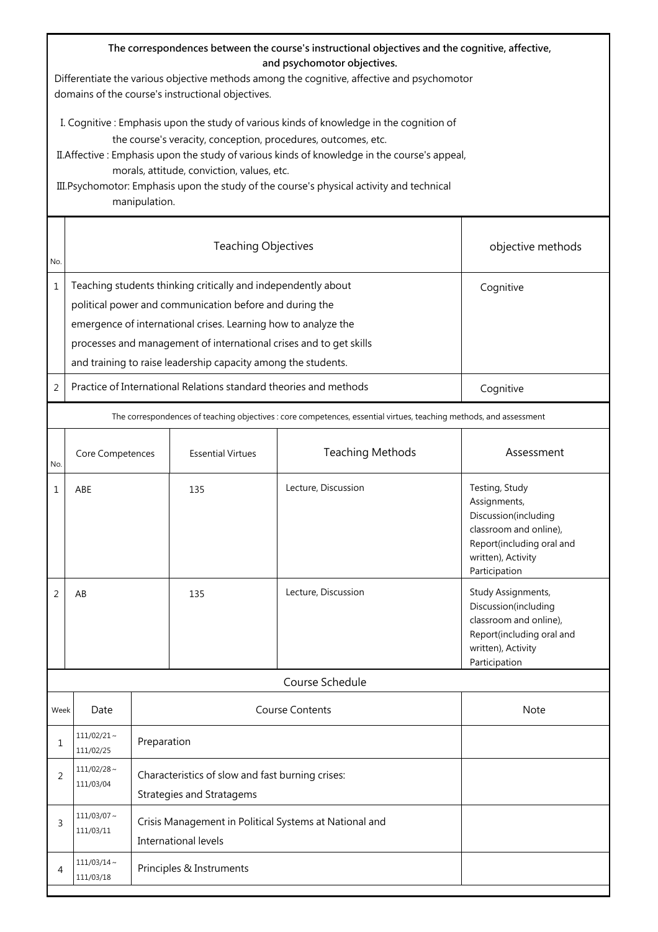| The correspondences between the course's instructional objectives and the cognitive, affective,<br>and psychomotor objectives.<br>Differentiate the various objective methods among the cognitive, affective and psychomotor                                                                                                                                                                                         |                                                                                                                    |                                                                                                                                                                                                                                                                                                                                                |                                                                   |                         |                                                                                                                                                      |  |
|----------------------------------------------------------------------------------------------------------------------------------------------------------------------------------------------------------------------------------------------------------------------------------------------------------------------------------------------------------------------------------------------------------------------|--------------------------------------------------------------------------------------------------------------------|------------------------------------------------------------------------------------------------------------------------------------------------------------------------------------------------------------------------------------------------------------------------------------------------------------------------------------------------|-------------------------------------------------------------------|-------------------------|------------------------------------------------------------------------------------------------------------------------------------------------------|--|
|                                                                                                                                                                                                                                                                                                                                                                                                                      | domains of the course's instructional objectives.                                                                  |                                                                                                                                                                                                                                                                                                                                                |                                                                   |                         |                                                                                                                                                      |  |
| I. Cognitive: Emphasis upon the study of various kinds of knowledge in the cognition of<br>the course's veracity, conception, procedures, outcomes, etc.<br>II. Affective: Emphasis upon the study of various kinds of knowledge in the course's appeal,<br>morals, attitude, conviction, values, etc.<br>III. Psychomotor: Emphasis upon the study of the course's physical activity and technical<br>manipulation. |                                                                                                                    |                                                                                                                                                                                                                                                                                                                                                |                                                                   |                         |                                                                                                                                                      |  |
| No.                                                                                                                                                                                                                                                                                                                                                                                                                  | <b>Teaching Objectives</b><br>objective methods                                                                    |                                                                                                                                                                                                                                                                                                                                                |                                                                   |                         |                                                                                                                                                      |  |
| $\mathbf{1}$                                                                                                                                                                                                                                                                                                                                                                                                         |                                                                                                                    | Teaching students thinking critically and independently about<br>Cognitive<br>political power and communication before and during the<br>emergence of international crises. Learning how to analyze the<br>processes and management of international crises and to get skills<br>and training to raise leadership capacity among the students. |                                                                   |                         |                                                                                                                                                      |  |
| 2                                                                                                                                                                                                                                                                                                                                                                                                                    |                                                                                                                    |                                                                                                                                                                                                                                                                                                                                                | Practice of International Relations standard theories and methods |                         | Cognitive                                                                                                                                            |  |
|                                                                                                                                                                                                                                                                                                                                                                                                                      | The correspondences of teaching objectives : core competences, essential virtues, teaching methods, and assessment |                                                                                                                                                                                                                                                                                                                                                |                                                                   |                         |                                                                                                                                                      |  |
| No.                                                                                                                                                                                                                                                                                                                                                                                                                  | Core Competences                                                                                                   |                                                                                                                                                                                                                                                                                                                                                | <b>Essential Virtues</b>                                          | <b>Teaching Methods</b> | Assessment                                                                                                                                           |  |
| 1                                                                                                                                                                                                                                                                                                                                                                                                                    | ABE                                                                                                                |                                                                                                                                                                                                                                                                                                                                                | 135                                                               | Lecture, Discussion     | Testing, Study<br>Assignments,<br>Discussion(including<br>classroom and online),<br>Report(including oral and<br>written), Activity<br>Participation |  |
| 2                                                                                                                                                                                                                                                                                                                                                                                                                    | AB                                                                                                                 |                                                                                                                                                                                                                                                                                                                                                | 135                                                               | Lecture, Discussion     | Study Assignments,<br>Discussion(including<br>classroom and online),<br>Report(including oral and<br>written), Activity<br>Participation             |  |
|                                                                                                                                                                                                                                                                                                                                                                                                                      |                                                                                                                    |                                                                                                                                                                                                                                                                                                                                                |                                                                   | Course Schedule         |                                                                                                                                                      |  |
| Week                                                                                                                                                                                                                                                                                                                                                                                                                 | Date                                                                                                               |                                                                                                                                                                                                                                                                                                                                                |                                                                   | <b>Course Contents</b>  | <b>Note</b>                                                                                                                                          |  |
| 1                                                                                                                                                                                                                                                                                                                                                                                                                    | $111/02/21$ ~<br>111/02/25                                                                                         | Preparation                                                                                                                                                                                                                                                                                                                                    |                                                                   |                         |                                                                                                                                                      |  |
| 2                                                                                                                                                                                                                                                                                                                                                                                                                    | $111/02/28$ ~<br>111/03/04                                                                                         | Characteristics of slow and fast burning crises:<br><b>Strategies and Stratagems</b>                                                                                                                                                                                                                                                           |                                                                   |                         |                                                                                                                                                      |  |
| 3                                                                                                                                                                                                                                                                                                                                                                                                                    | $111/03/07$ ~<br>111/03/11                                                                                         | Crisis Management in Political Systems at National and<br>International levels                                                                                                                                                                                                                                                                 |                                                                   |                         |                                                                                                                                                      |  |
| 4                                                                                                                                                                                                                                                                                                                                                                                                                    | $111/03/14$ ~<br>111/03/18                                                                                         | Principles & Instruments                                                                                                                                                                                                                                                                                                                       |                                                                   |                         |                                                                                                                                                      |  |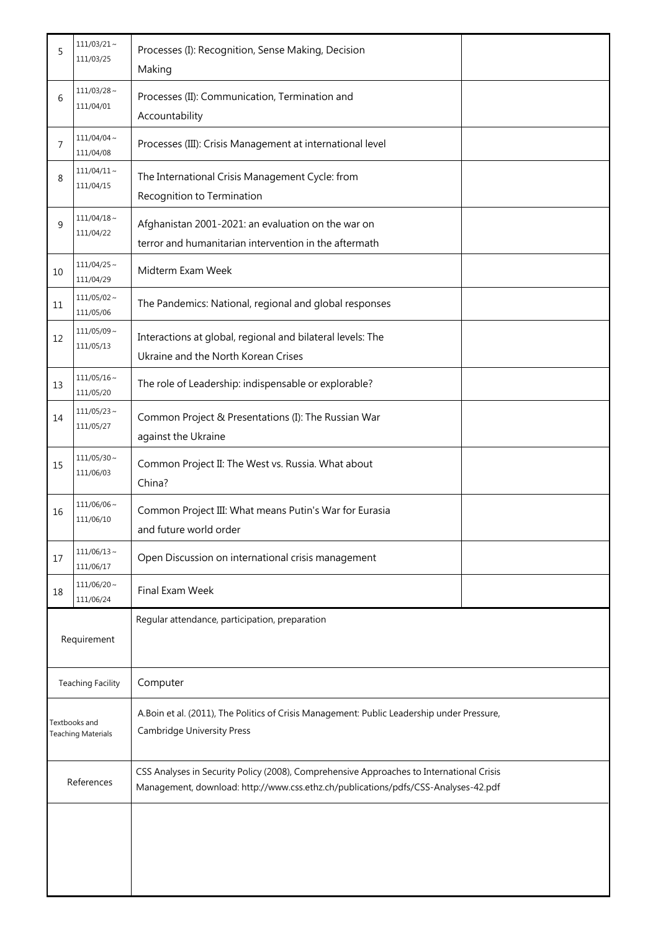| 5                                   | $111/03/21$ ~<br>111/03/25    | Processes (I): Recognition, Sense Making, Decision<br>Making                                                                                                                   |  |  |
|-------------------------------------|-------------------------------|--------------------------------------------------------------------------------------------------------------------------------------------------------------------------------|--|--|
| 6                                   | $111/03/28$ ~<br>111/04/01    | Processes (II): Communication, Termination and<br>Accountability                                                                                                               |  |  |
| $\overline{7}$                      | $111/04/04 \sim$<br>111/04/08 | Processes (III): Crisis Management at international level                                                                                                                      |  |  |
| 8                                   | $111/04/11 \sim$<br>111/04/15 | The International Crisis Management Cycle: from<br>Recognition to Termination                                                                                                  |  |  |
| 9                                   | $111/04/18 \sim$<br>111/04/22 | Afghanistan 2001-2021: an evaluation on the war on<br>terror and humanitarian intervention in the aftermath                                                                    |  |  |
| 10                                  | $111/04/25$ ~<br>111/04/29    | Midterm Exam Week                                                                                                                                                              |  |  |
| 11                                  | $111/05/02 \sim$<br>111/05/06 | The Pandemics: National, regional and global responses                                                                                                                         |  |  |
| 12                                  | $111/05/09$ ~<br>111/05/13    | Interactions at global, regional and bilateral levels: The<br>Ukraine and the North Korean Crises                                                                              |  |  |
| 13                                  | $111/05/16 \sim$<br>111/05/20 | The role of Leadership: indispensable or explorable?                                                                                                                           |  |  |
| 14                                  | $111/05/23$ ~<br>111/05/27    | Common Project & Presentations (I): The Russian War<br>against the Ukraine                                                                                                     |  |  |
| 15                                  | $111/05/30$ ~<br>111/06/03    | Common Project II: The West vs. Russia. What about<br>China?                                                                                                                   |  |  |
| 16                                  | $111/06/06$ ~<br>111/06/10    | Common Project III: What means Putin's War for Eurasia<br>and future world order                                                                                               |  |  |
| 17                                  | $111/06/13$ ~<br>111/06/17    | Open Discussion on international crisis management                                                                                                                             |  |  |
| 18                                  | $111/06/20 \sim$<br>111/06/24 | Final Exam Week                                                                                                                                                                |  |  |
| Requirement                         |                               | Regular attendance, participation, preparation                                                                                                                                 |  |  |
| <b>Teaching Facility</b>            |                               | Computer                                                                                                                                                                       |  |  |
| Textbooks and<br>Teaching Materials |                               | A.Boin et al. (2011), The Politics of Crisis Management: Public Leadership under Pressure,<br><b>Cambridge University Press</b>                                                |  |  |
| References                          |                               | CSS Analyses in Security Policy (2008), Comprehensive Approaches to International Crisis<br>Management, download: http://www.css.ethz.ch/publications/pdfs/CSS-Analyses-42.pdf |  |  |
|                                     |                               |                                                                                                                                                                                |  |  |